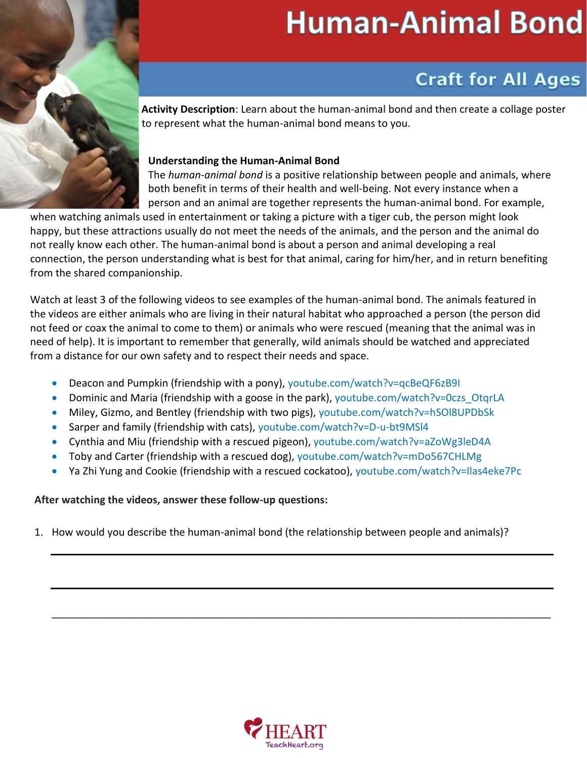# **Human-Animal Bond**

## **Craft for All Ages**

**Activity Description**: Learn about the human-animal bond and then create a collage poster to represent what the human-animal bond means to you.

#### **Understanding the Human-Animal Bond** Learn about the human-animal bond and then create a collage poster to

The *human-animal bond* is a positive relationship between people and animals, where The human-animal bond is a positive relationship between people and animals, where both benefit in terms of their health and well-being. Not every instance when a person and an animal are together represents the human-animal bond. For example,

when watching animals used in entertainment or taking a picture with a tiger cub, the person might look happy, but these attractions usually do not meet the needs of the animals, and the person and the animal do not really know each other. The human-animal bond is about a person and animal developing a real connection, the person understanding what is best for that animal, caring for him/her, and in return benefiting from the shared companionship.

Watch at least 3 of the following videos to see examples of the human-animal bond. The animals featured in the videos are either animals who are living in their natural habitat who approached a person (the person did not feed or coax the animal to come to them) or animals who were rescued (meaning that the animal was in need of help). It is important to remember that generally, wild animals should be watched and appreciated from a distance for our own safety and to respect their needs and space.

- Deacon and Pumpkin (friendship with a pony),<youtube.com/watch?v=qcBeQF6zB9I>
- •Dominic and Maria (friendship with a goose in the park), [youtube.com/watch?v=0czs\\_OtqrLA](https://www.youtube.com/watch?v=0czs_OtqrLA)
- •Miley, Gizmo, and Bentley (friendship with two pigs), <youtube.com/watch?v=hSOl8UPDbSk>
- Sarper and family (friendship with cats), [youtube.com/watch?v=D-u-bt9MSl4](https://www.youtube.com/watch?v=D-u-bt9MSl4)
- Cynthia and Miu (friendship with a rescued pigeon),<youtube.com/watch?v=aZoWg3leD4A>
- Toby and Carter (friendship with a rescued dog),<youtube.com/watch?v=mDo567CHLMg>
- •Ya Zhi Yung and Cookie (friendship with a rescued cockatoo), <youtube.com/watch?v=Ilas4eke7Pc>

#### **After watching the videos, answer these follow-up questions:**

1. How would you describe the human-animal bond (the relationship between people and animals)?



\_\_\_\_\_\_\_\_\_\_\_\_\_\_\_\_\_\_\_\_\_\_\_\_\_\_\_\_\_\_\_\_\_\_\_\_\_\_\_\_\_\_\_\_\_\_\_\_\_\_\_\_\_\_\_\_\_\_\_\_\_\_\_